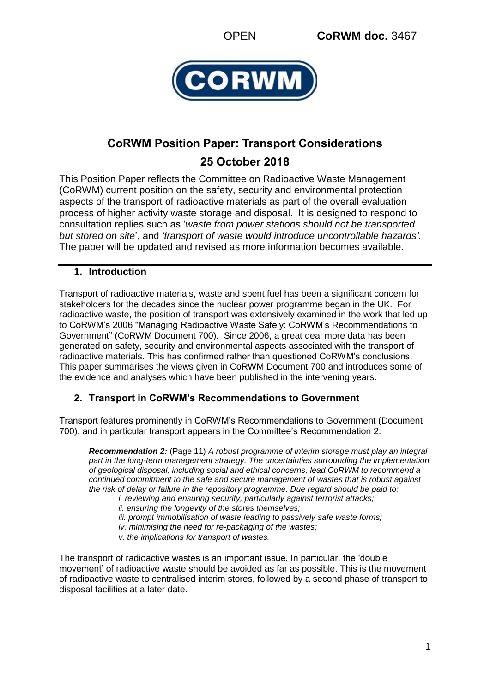

# **CoRWM Position Paper: Transport Considerations 25 October 2018**

This Position Paper reflects the Committee on Radioactive Waste Management (CoRWM) current position on the safety, security and environmental protection aspects of the transport of radioactive materials as part of the overall evaluation process of higher activity waste storage and disposal. It is designed to respond to consultation replies such as '*waste from power stations should not be transported but stored on site*', and *'transport of waste would introduce uncontrollable hazards'.*  The paper will be updated and revised as more information becomes available.

## **1. Introduction**

Transport of radioactive materials, waste and spent fuel has been a significant concern for stakeholders for the decades since the nuclear power programme began in the UK. For radioactive waste, the position of transport was extensively examined in the work that led up to CoRWM's 2006 "Managing Radioactive Waste Safely: CoRWM's Recommendations to Government" (CoRWM Document 700). Since 2006, a great deal more data has been generated on safety, security and environmental aspects associated with the transport of radioactive materials. This has confirmed rather than questioned CoRWM's conclusions. This paper summarises the views given in CoRWM Document 700 and introduces some of the evidence and analyses which have been published in the intervening years.

# **2. Transport in CoRWM's Recommendations to Government**

Transport features prominently in CoRWM's Recommendations to Government (Document 700), and in particular transport appears in the Committee's Recommendation 2:

*Recommendation 2:* (Page 11) *A robust programme of interim storage must play an integral part in the long-term management strategy. The uncertainties surrounding the implementation of geological disposal, including social and ethical concerns, lead CoRWM to recommend a continued commitment to the safe and secure management of wastes that is robust against the risk of delay or failure in the repository programme. Due regard should be paid to:*

*i. reviewing and ensuring security, particularly against terrorist attacks;*

*ii. ensuring the longevity of the stores themselves;*

*iii. prompt immobilisation of waste leading to passively safe waste forms;*

*iv. minimising the need for re-packaging of the wastes;*

*v. the implications for transport of wastes.*

The transport of radioactive wastes is an important issue. In particular, the 'double movement' of radioactive waste should be avoided as far as possible. This is the movement of radioactive waste to centralised interim stores, followed by a second phase of transport to disposal facilities at a later date.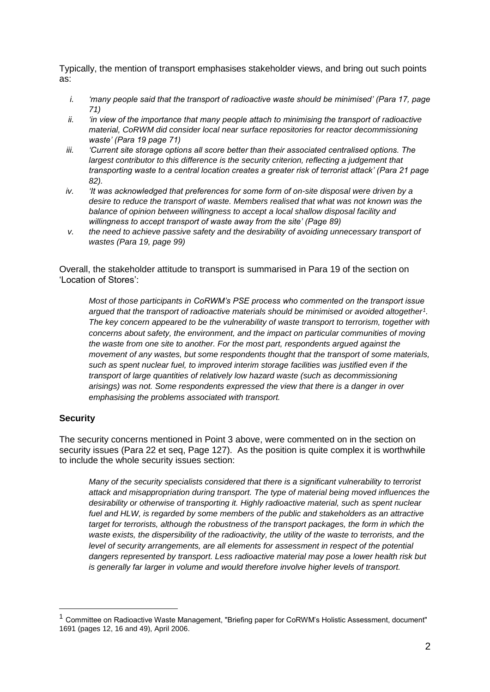Typically, the mention of transport emphasises stakeholder views, and bring out such points as:

- *i. 'many people said that the transport of radioactive waste should be minimised' (Para 17, page 71)*
- *ii. 'in view of the importance that many people attach to minimising the transport of radioactive material, CoRWM did consider local near surface repositories for reactor decommissioning waste' (Para 19 page 71)*
- *iii. 'Current site storage options all score better than their associated centralised options. The largest contributor to this difference is the security criterion, reflecting a judgement that transporting waste to a central location creates a greater risk of terrorist attack' (Para 21 page 82).*
- *iv. 'It was acknowledged that preferences for some form of on-site disposal were driven by a desire to reduce the transport of waste. Members realised that what was not known was the balance of opinion between willingness to accept a local shallow disposal facility and willingness to accept transport of waste away from the site' (Page 89)*
- *v. the need to achieve passive safety and the desirability of avoiding unnecessary transport of wastes (Para 19, page 99)*

Overall, the stakeholder attitude to transport is summarised in Para 19 of the section on 'Location of Stores':

*Most of those participants in CoRWM's PSE process who commented on the transport issue argued that the transport of radioactive materials should be minimised or avoided altogether<sup>1</sup> . The key concern appeared to be the vulnerability of waste transport to terrorism, together with concerns about safety, the environment, and the impact on particular communities of moving the waste from one site to another. For the most part, respondents argued against the movement of any wastes, but some respondents thought that the transport of some materials, such as spent nuclear fuel, to improved interim storage facilities was justified even if the transport of large quantities of relatively low hazard waste (such as decommissioning arisings) was not. Some respondents expressed the view that there is a danger in over emphasising the problems associated with transport.*

#### **Security**

1

The security concerns mentioned in Point 3 above, were commented on in the section on security issues (Para 22 et seq. Page 127). As the position is quite complex it is worthwhile to include the whole security issues section:

*Many of the security specialists considered that there is a significant vulnerability to terrorist attack and misappropriation during transport. The type of material being moved influences the desirability or otherwise of transporting it. Highly radioactive material, such as spent nuclear fuel and HLW, is regarded by some members of the public and stakeholders as an attractive target for terrorists, although the robustness of the transport packages, the form in which the waste exists, the dispersibility of the radioactivity, the utility of the waste to terrorists, and the level of security arrangements, are all elements for assessment in respect of the potential dangers represented by transport. Less radioactive material may pose a lower health risk but is generally far larger in volume and would therefore involve higher levels of transport.*

<sup>&</sup>lt;sup>1</sup> Committee on Radioactive Waste Management, "Briefing paper for CoRWM's Holistic Assessment, document" 1691 (pages 12, 16 and 49), April 2006.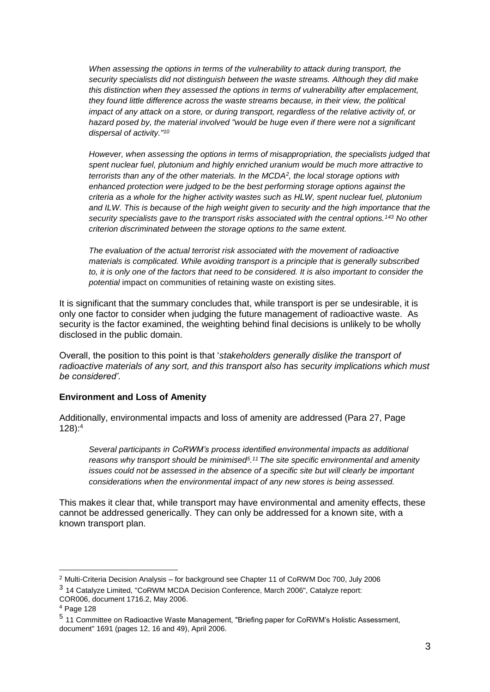*When assessing the options in terms of the vulnerability to attack during transport, the security specialists did not distinguish between the waste streams. Although they did make this distinction when they assessed the options in terms of vulnerability after emplacement, they found little difference across the waste streams because, in their view, the political impact of any attack on a store, or during transport, regardless of the relative activity of, or hazard posed by, the material involved "would be huge even if there were not a significant dispersal of activity."<sup>10</sup>*

*However, when assessing the options in terms of misappropriation, the specialists judged that spent nuclear fuel, plutonium and highly enriched uranium would be much more attractive to terrorists than any of the other materials. In the MCDA<sup>2</sup> , the local storage options with enhanced protection were judged to be the best performing storage options against the criteria as a whole for the higher activity wastes such as HLW, spent nuclear fuel, plutonium and ILW. This is because of the high weight given to security and the high importance that the security specialists gave to the transport risks associated with the central options.<sup>143</sup> No other criterion discriminated between the storage options to the same extent.*

*The evaluation of the actual terrorist risk associated with the movement of radioactive materials is complicated. While avoiding transport is a principle that is generally subscribed to, it is only one of the factors that need to be considered. It is also important to consider the potential* impact on communities of retaining waste on existing sites.

It is significant that the summary concludes that, while transport is per se undesirable, it is only one factor to consider when judging the future management of radioactive waste. As security is the factor examined, the weighting behind final decisions is unlikely to be wholly disclosed in the public domain.

Overall, the position to this point is that '*stakeholders generally dislike the transport of radioactive materials of any sort, and this transport also has security implications which must be considered'*.

#### **Environment and Loss of Amenity**

Additionally, environmental impacts and loss of amenity are addressed (Para 27, Page 128): 4

*Several participants in CoRWM's process identified environmental impacts as additional reasons why transport should be minimised<sup>5</sup> . <sup>11</sup>The site specific environmental and amenity issues could not be assessed in the absence of a specific site but will clearly be important considerations when the environmental impact of any new stores is being assessed.*

This makes it clear that, while transport may have environmental and amenity effects, these cannot be addressed generically. They can only be addressed for a known site, with a known transport plan.

1

<sup>2</sup> Multi-Criteria Decision Analysis – for background see Chapter 11 of CoRWM Doc 700, July 2006 3 14 Catalyze Limited, "CoRWM MCDA Decision Conference, March 2006", Catalyze report:

COR006, document 1716.2, May 2006.

<sup>4</sup> Page 128

<sup>5</sup> 11 Committee on Radioactive Waste Management, "Briefing paper for CoRWM's Holistic Assessment, document" 1691 (pages 12, 16 and 49), April 2006.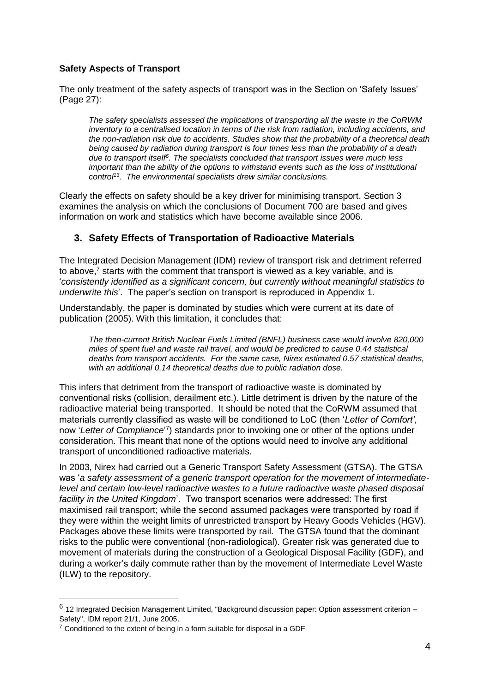#### **Safety Aspects of Transport**

The only treatment of the safety aspects of transport was in the Section on 'Safety Issues' (Page 27):

*The safety specialists assessed the implications of transporting all the waste in the CoRWM inventory to a centralised location in terms of the risk from radiation, including accidents, and the non-radiation risk due to accidents. Studies show that the probability of a theoretical death being caused by radiation during transport is four times less than the probability of a death due to transport itself<sup>6</sup> . The specialists concluded that transport issues were much less important than the ability of the options to withstand events such as the loss of institutional control<sup>13</sup>. The environmental specialists drew similar conclusions.*

Clearly the effects on safety should be a key driver for minimising transport. Section 3 examines the analysis on which the conclusions of Document 700 are based and gives information on work and statistics which have become available since 2006.

### **3. Safety Effects of Transportation of Radioactive Materials**

The Integrated Decision Management (IDM) review of transport risk and detriment referred to above, <sup>7</sup> starts with the comment that transport is viewed as a key variable, and is '*consistently identified as a significant concern, but currently without meaningful statistics to underwrite this*'. The paper's section on transport is reproduced in Appendix 1.

Understandably, the paper is dominated by studies which were current at its date of publication (2005). With this limitation, it concludes that:

*The then-current British Nuclear Fuels Limited (BNFL) business case would involve 820,000 miles of spent fuel and waste rail travel, and would be predicted to cause 0.44 statistical deaths from transport accidents. For the same case, Nirex estimated 0.57 statistical deaths, with an additional 0.14 theoretical deaths due to public radiation dose.*

This infers that detriment from the transport of radioactive waste is dominated by conventional risks (collision, derailment etc.). Little detriment is driven by the nature of the radioactive material being transported. It should be noted that the CoRWM assumed that materials currently classified as waste will be conditioned to LoC (then '*Letter of Comfort'*, now 'Letter of Compliance<sup>'7</sup>) standards prior to invoking one or other of the options under consideration. This meant that none of the options would need to involve any additional transport of unconditioned radioactive materials.

In 2003, Nirex had carried out a Generic Transport Safety Assessment (GTSA). The GTSA was '*a safety assessment of a generic transport operation for the movement of intermediatelevel and certain low-level radioactive wastes to a future radioactive waste phased disposal facility in the United Kingdom*'. Two transport scenarios were addressed: The first maximised rail transport; while the second assumed packages were transported by road if they were within the weight limits of unrestricted transport by Heavy Goods Vehicles (HGV). Packages above these limits were transported by rail. The GTSA found that the dominant risks to the public were conventional (non-radiological). Greater risk was generated due to movement of materials during the construction of a Geological Disposal Facility (GDF), and during a worker's daily commute rather than by the movement of Intermediate Level Waste (ILW) to the repository.

1

<sup>&</sup>lt;sup>6</sup> 12 Integrated Decision Management Limited, "Background discussion paper: Option assessment criterion – Safety", IDM report 21/1, June 2005.

 $7$  Conditioned to the extent of being in a form suitable for disposal in a GDF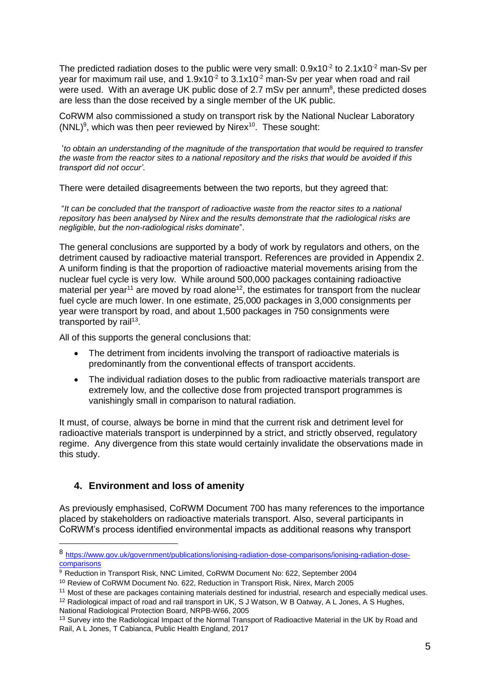The predicted radiation doses to the public were very small:  $0.9x10^{-2}$  to  $2.1x10^{-2}$  man-Sv per year for maximum rail use, and  $1.9x10<sup>-2</sup>$  to  $3.1x10<sup>-2</sup>$  man-Sv per year when road and rail were used. With an average UK public dose of 2.7 mSv per annum<sup>8</sup>, these predicted doses are less than the dose received by a single member of the UK public.

CoRWM also commissioned a study on transport risk by the National Nuclear Laboratory (NNL)<sup>9</sup>, which was then peer reviewed by Nirex<sup>10</sup>. These sought:

'*to obtain an understanding of the magnitude of the transportation that would be required to transfer the waste from the reactor sites to a national repository and the risks that would be avoided if this transport did not occur'*.

There were detailed disagreements between the two reports, but they agreed that:

"*It can be concluded that the transport of radioactive waste from the reactor sites to a national repository has been analysed by Nirex and the results demonstrate that the radiological risks are negligible, but the non-radiological risks dominate*".

The general conclusions are supported by a body of work by regulators and others, on the detriment caused by radioactive material transport. References are provided in Appendix 2. A uniform finding is that the proportion of radioactive material movements arising from the nuclear fuel cycle is very low. While around 500,000 packages containing radioactive material per year<sup>11</sup> are moved by road alone<sup>12</sup>, the estimates for transport from the nuclear fuel cycle are much lower. In one estimate, 25,000 packages in 3,000 consignments per year were transport by road, and about 1,500 packages in 750 consignments were transported by rail<sup>13</sup>.

All of this supports the general conclusions that:

- The detriment from incidents involving the transport of radioactive materials is predominantly from the conventional effects of transport accidents.
- The individual radiation doses to the public from radioactive materials transport are extremely low, and the collective dose from projected transport programmes is vanishingly small in comparison to natural radiation.

It must, of course, always be borne in mind that the current risk and detriment level for radioactive materials transport is underpinned by a strict, and strictly observed, regulatory regime. Any divergence from this state would certainly invalidate the observations made in this study.

## **4. Environment and loss of amenity**

1

As previously emphasised, CoRWM Document 700 has many references to the importance placed by stakeholders on radioactive materials transport. Also, several participants in CoRWM's process identified environmental impacts as additional reasons why transport

<sup>8</sup> [https://www.gov.uk/government/publications/ionising-radiation-dose-comparisons/ionising-radiation-dose](https://www.gov.uk/government/publications/ionising-radiation-dose-comparisons/ionising-radiation-dose-comparisons)[comparisons](https://www.gov.uk/government/publications/ionising-radiation-dose-comparisons/ionising-radiation-dose-comparisons)

<sup>9</sup> Reduction in Transport Risk, NNC Limited, CoRWM Document No: 622, September 2004

<sup>10</sup> Review of CoRWM Document No. 622, Reduction in Transport Risk, Nirex, March 2005

<sup>&</sup>lt;sup>11</sup> Most of these are packages containing materials destined for industrial, research and especially medical uses.

 $12$  Radiological impact of road and rail transport in UK, S J Watson, W B Oatway, A L Jones, A S Hughes, National Radiological Protection Board, NRPB-W66, 2005

<sup>&</sup>lt;sup>13</sup> Survey into the Radiological Impact of the Normal Transport of Radioactive Material in the UK by Road and Rail, A L Jones, T Cabianca, Public Health England, 2017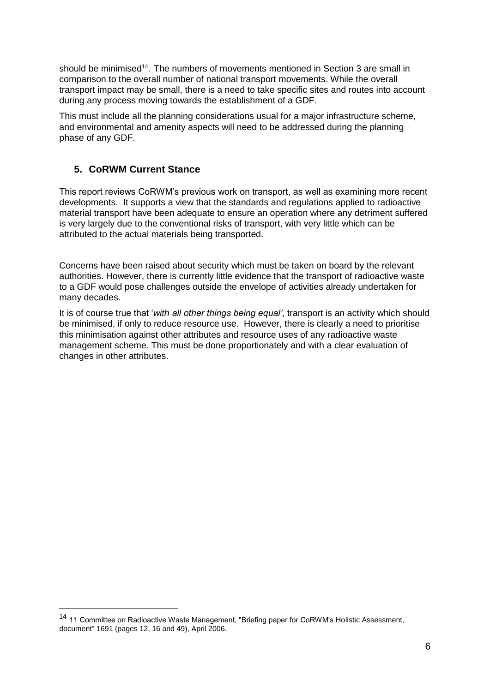should be minimised<sup>14</sup>. The numbers of movements mentioned in Section 3 are small in comparison to the overall number of national transport movements. While the overall transport impact may be small, there is a need to take specific sites and routes into account during any process moving towards the establishment of a GDF.

This must include all the planning considerations usual for a major infrastructure scheme, and environmental and amenity aspects will need to be addressed during the planning phase of any GDF.

## **5. CoRWM Current Stance**

1

This report reviews CoRWM's previous work on transport, as well as examining more recent developments. It supports a view that the standards and regulations applied to radioactive material transport have been adequate to ensure an operation where any detriment suffered is very largely due to the conventional risks of transport, with very little which can be attributed to the actual materials being transported.

Concerns have been raised about security which must be taken on board by the relevant authorities. However, there is currently little evidence that the transport of radioactive waste to a GDF would pose challenges outside the envelope of activities already undertaken for many decades.

It is of course true that '*with all other things being equal'*, transport is an activity which should be minimised, if only to reduce resource use. However, there is clearly a need to prioritise this minimisation against other attributes and resource uses of any radioactive waste management scheme. This must be done proportionately and with a clear evaluation of changes in other attributes.

<sup>&</sup>lt;sup>14</sup> 11 Committee on Radioactive Waste Management, "Briefing paper for CoRWM's Holistic Assessment, document" 1691 (pages 12, 16 and 49), April 2006.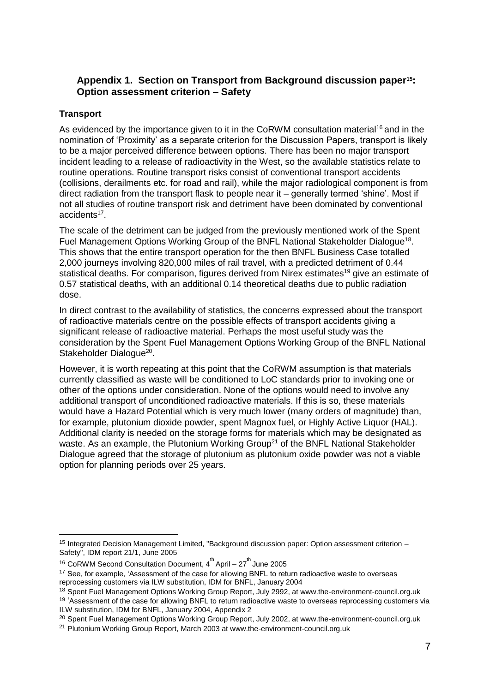## **Appendix 1. Section on Transport from Background discussion paper15: Option assessment criterion – Safety**

#### **Transport**

1

As evidenced by the importance given to it in the CoRWM consultation material<sup>16</sup> and in the nomination of 'Proximity' as a separate criterion for the Discussion Papers, transport is likely to be a major perceived difference between options. There has been no major transport incident leading to a release of radioactivity in the West, so the available statistics relate to routine operations. Routine transport risks consist of conventional transport accidents (collisions, derailments etc. for road and rail), while the major radiological component is from direct radiation from the transport flask to people near it – generally termed 'shine'. Most if not all studies of routine transport risk and detriment have been dominated by conventional accidents<sup>17</sup>.

The scale of the detriment can be judged from the previously mentioned work of the Spent Fuel Management Options Working Group of the BNFL National Stakeholder Dialogue<sup>18</sup>. This shows that the entire transport operation for the then BNFL Business Case totalled 2,000 journeys involving 820,000 miles of rail travel, with a predicted detriment of 0.44 statistical deaths. For comparison, figures derived from Nirex estimates<sup>19</sup> give an estimate of 0.57 statistical deaths, with an additional 0.14 theoretical deaths due to public radiation dose.

In direct contrast to the availability of statistics, the concerns expressed about the transport of radioactive materials centre on the possible effects of transport accidents giving a significant release of radioactive material. Perhaps the most useful study was the consideration by the Spent Fuel Management Options Working Group of the BNFL National Stakeholder Dialogue<sup>20</sup>.

However, it is worth repeating at this point that the CoRWM assumption is that materials currently classified as waste will be conditioned to LoC standards prior to invoking one or other of the options under consideration. None of the options would need to involve any additional transport of unconditioned radioactive materials. If this is so, these materials would have a Hazard Potential which is very much lower (many orders of magnitude) than, for example, plutonium dioxide powder, spent Magnox fuel, or Highly Active Liquor (HAL). Additional clarity is needed on the storage forms for materials which may be designated as waste. As an example, the Plutonium Working Group<sup>21</sup> of the BNFL National Stakeholder Dialogue agreed that the storage of plutonium as plutonium oxide powder was not a viable option for planning periods over 25 years.

<sup>15</sup> Integrated Decision Management Limited, "Background discussion paper: Option assessment criterion – Safety", IDM report 21/1, June 2005

<sup>&</sup>lt;sup>16</sup> CoRWM Second Consultation Document,  $4^{th}$  April – 27 $^{th}$  June 2005

<sup>&</sup>lt;sup>17</sup> See, for example, 'Assessment of the case for allowing BNFL to return radioactive waste to overseas reprocessing customers via ILW substitution, IDM for BNFL, January 2004

<sup>&</sup>lt;sup>18</sup> Spent Fuel Management Options Working Group Report, July 2992, at www.the-environment-council.org.uk

<sup>&</sup>lt;sup>19</sup> 'Assessment of the case for allowing BNFL to return radioactive waste to overseas reprocessing customers via ILW substitution, IDM for BNFL, January 2004, Appendix 2

<sup>&</sup>lt;sup>20</sup> Spent Fuel Management Options Working Group Report, July 2002, at www.the-environment-council.org.uk

<sup>21</sup> Plutonium Working Group Report, March 2003 at www.the-environment-council.org.uk